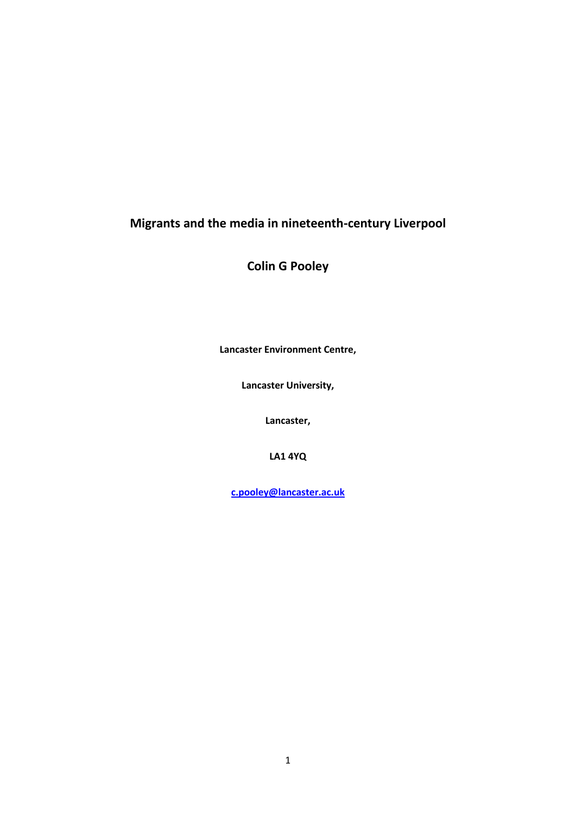# **Migrants and the media in nineteenth-century Liverpool**

**Colin G Pooley**

**Lancaster Environment Centre,** 

**Lancaster University,** 

**Lancaster,**

**LA1 4YQ**

**[c.pooley@lancaster.ac.uk](mailto:c.pooley@lancaster.ac.uk)**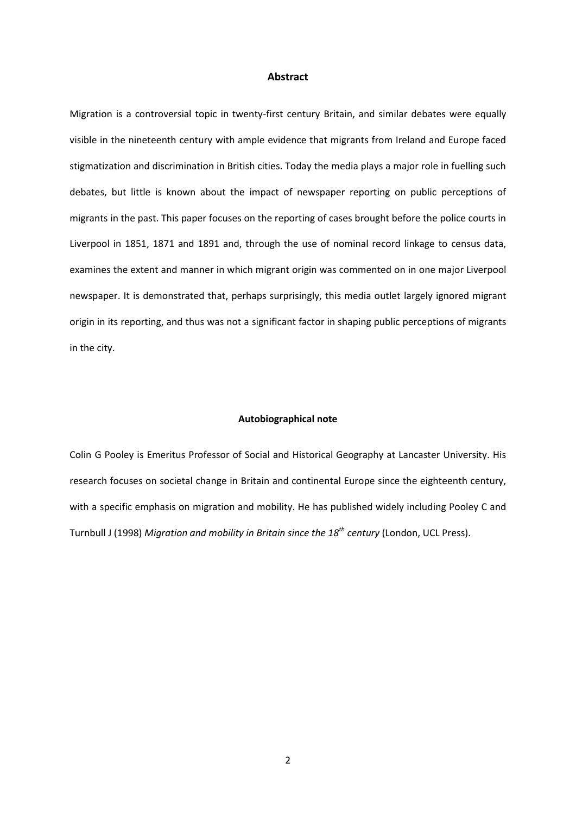### **Abstract**

Migration is a controversial topic in twenty-first century Britain, and similar debates were equally visible in the nineteenth century with ample evidence that migrants from Ireland and Europe faced stigmatization and discrimination in British cities. Today the media plays a major role in fuelling such debates, but little is known about the impact of newspaper reporting on public perceptions of migrants in the past. This paper focuses on the reporting of cases brought before the police courts in Liverpool in 1851, 1871 and 1891 and, through the use of nominal record linkage to census data, examines the extent and manner in which migrant origin was commented on in one major Liverpool newspaper. It is demonstrated that, perhaps surprisingly, this media outlet largely ignored migrant origin in its reporting, and thus was not a significant factor in shaping public perceptions of migrants in the city.

# **Autobiographical note**

Colin G Pooley is Emeritus Professor of Social and Historical Geography at Lancaster University. His research focuses on societal change in Britain and continental Europe since the eighteenth century, with a specific emphasis on migration and mobility. He has published widely including Pooley C and Turnbull J (1998) *Migration and mobility in Britain since the 18th century* (London, UCL Press).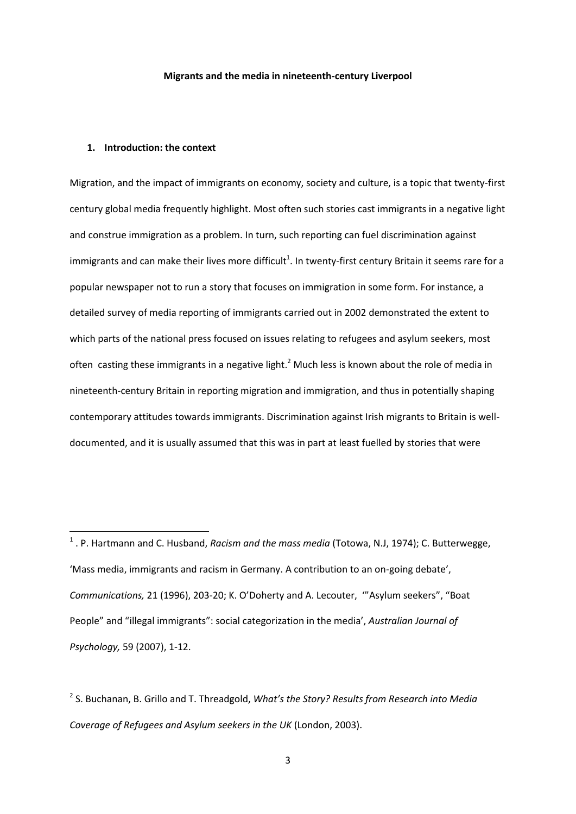#### **Migrants and the media in nineteenth-century Liverpool**

### **1. Introduction: the context**

1

Migration, and the impact of immigrants on economy, society and culture, is a topic that twenty-first century global media frequently highlight. Most often such stories cast immigrants in a negative light and construe immigration as a problem. In turn, such reporting can fuel discrimination against immigrants and can make their lives more difficult<sup>1</sup>. In twenty-first century Britain it seems rare for a popular newspaper not to run a story that focuses on immigration in some form. For instance, a detailed survey of media reporting of immigrants carried out in 2002 demonstrated the extent to which parts of the national press focused on issues relating to refugees and asylum seekers, most often casting these immigrants in a negative light.<sup>2</sup> Much less is known about the role of media in nineteenth-century Britain in reporting migration and immigration, and thus in potentially shaping contemporary attitudes towards immigrants. Discrimination against Irish migrants to Britain is welldocumented, and it is usually assumed that this was in part at least fuelled by stories that were

<sup>&</sup>lt;sup>1</sup>. P. Hartmann and C. Husband, *Racism and the mass media* (Totowa, N.J, 1974); C. Butterwegge, 'Mass media, immigrants and racism in Germany. A contribution to an on-going debate', *Communications,* 21 (1996), 203-20; K. O'Doherty and A. Lecouter, '"Asylum seekers", "Boat People" and "illegal immigrants": social categorization in the media', *Australian Journal of Psychology,* 59 (2007), 1-12.

<sup>2</sup> S. Buchanan, B. Grillo and T. Threadgold, *What's the Story? Results from Research into Media Coverage of Refugees and Asylum seekers in the UK* (London, 2003).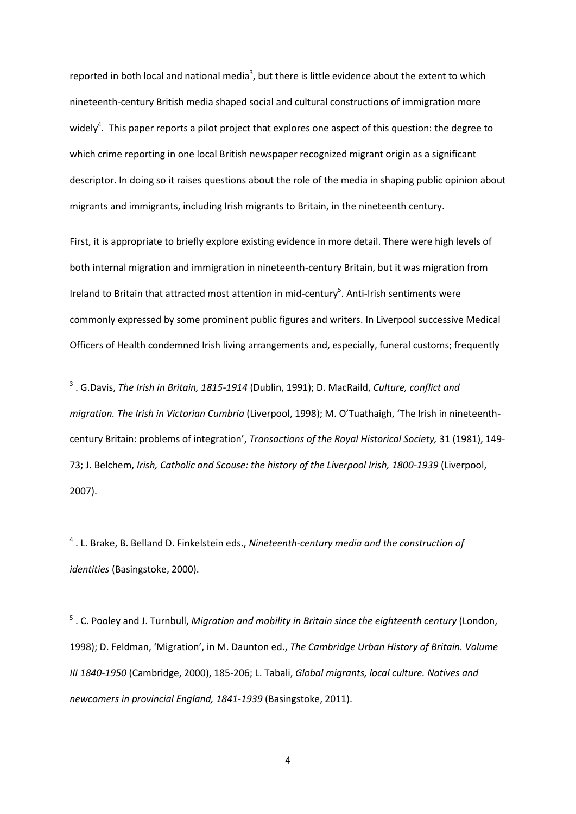reported in both local and national media<sup>3</sup>, but there is little evidence about the extent to which nineteenth-century British media shaped social and cultural constructions of immigration more widely<sup>4</sup>. This paper reports a pilot project that explores one aspect of this question: the degree to which crime reporting in one local British newspaper recognized migrant origin as a significant descriptor. In doing so it raises questions about the role of the media in shaping public opinion about migrants and immigrants, including Irish migrants to Britain, in the nineteenth century.

First, it is appropriate to briefly explore existing evidence in more detail. There were high levels of both internal migration and immigration in nineteenth-century Britain, but it was migration from Ireland to Britain that attracted most attention in mid-century<sup>5</sup>. Anti-Irish sentiments were commonly expressed by some prominent public figures and writers. In Liverpool successive Medical Officers of Health condemned Irish living arrangements and, especially, funeral customs; frequently

1

4 . L. Brake, B. Belland D. Finkelstein eds., *Nineteenth-century media and the construction of identities* (Basingstoke, 2000).

5 . C. Pooley and J. Turnbull, *Migration and mobility in Britain since the eighteenth century* (London, 1998); D. Feldman, 'Migration', in M. Daunton ed., *The Cambridge Urban History of Britain. Volume III 1840-1950* (Cambridge, 2000), 185-206; L. Tabali, *Global migrants, local culture. Natives and newcomers in provincial England, 1841-1939* (Basingstoke, 2011).

<sup>3</sup> . G.Davis, *The Irish in Britain, 1815-1914* (Dublin, 1991); D. MacRaild, *Culture, conflict and migration. The Irish in Victorian Cumbria* (Liverpool, 1998); M. O'Tuathaigh, 'The Irish in nineteenthcentury Britain: problems of integration', *Transactions of the Royal Historical Society,* 31 (1981), 149- 73; J. Belchem, *Irish, Catholic and Scouse: the history of the Liverpool Irish, 1800-1939* (Liverpool, 2007).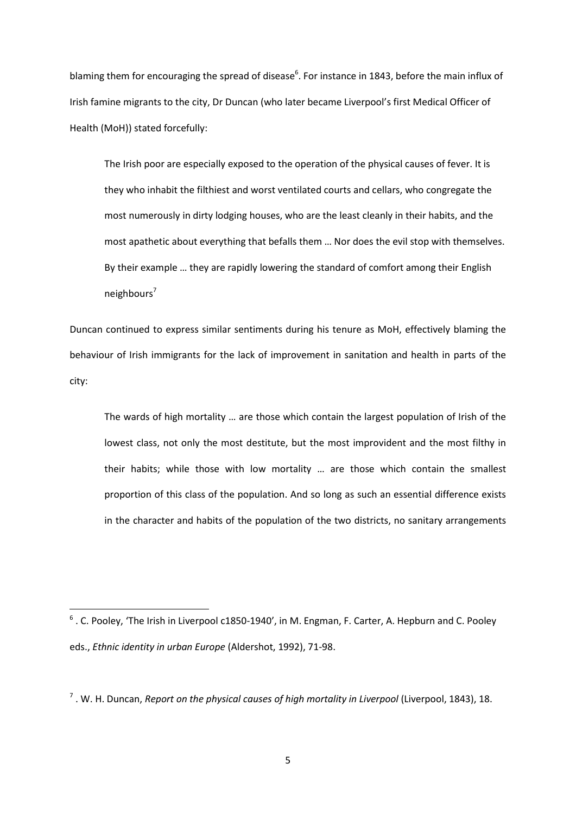blaming them for encouraging the spread of disease<sup>6</sup>. For instance in 1843, before the main influx of Irish famine migrants to the city, Dr Duncan (who later became Liverpool's first Medical Officer of Health (MoH)) stated forcefully:

The Irish poor are especially exposed to the operation of the physical causes of fever. It is they who inhabit the filthiest and worst ventilated courts and cellars, who congregate the most numerously in dirty lodging houses, who are the least cleanly in their habits, and the most apathetic about everything that befalls them … Nor does the evil stop with themselves. By their example … they are rapidly lowering the standard of comfort among their English neighbours<sup>7</sup>

Duncan continued to express similar sentiments during his tenure as MoH, effectively blaming the behaviour of Irish immigrants for the lack of improvement in sanitation and health in parts of the city:

The wards of high mortality … are those which contain the largest population of Irish of the lowest class, not only the most destitute, but the most improvident and the most filthy in their habits; while those with low mortality … are those which contain the smallest proportion of this class of the population. And so long as such an essential difference exists in the character and habits of the population of the two districts, no sanitary arrangements

<sup>&</sup>lt;sup>6</sup>. C. Pooley, 'The Irish in Liverpool c1850-1940', in M. Engman, F. Carter, A. Hepburn and C. Pooley eds., *Ethnic identity in urban Europe* (Aldershot, 1992), 71-98.

<sup>7</sup> . W. H. Duncan, *Report on the physical causes of high mortality in Liverpool* (Liverpool, 1843), 18.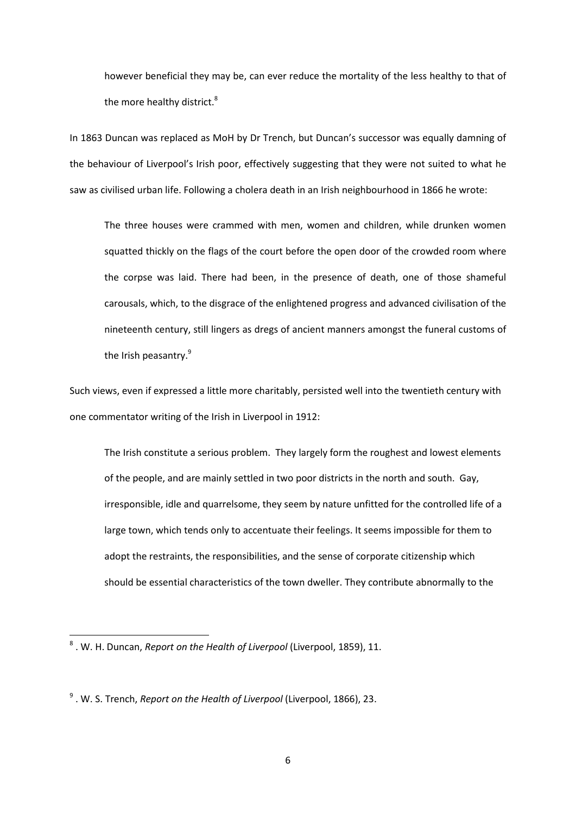however beneficial they may be, can ever reduce the mortality of the less healthy to that of the more healthy district.<sup>8</sup>

In 1863 Duncan was replaced as MoH by Dr Trench, but Duncan's successor was equally damning of the behaviour of Liverpool's Irish poor, effectively suggesting that they were not suited to what he saw as civilised urban life. Following a cholera death in an Irish neighbourhood in 1866 he wrote:

The three houses were crammed with men, women and children, while drunken women squatted thickly on the flags of the court before the open door of the crowded room where the corpse was laid. There had been, in the presence of death, one of those shameful carousals, which, to the disgrace of the enlightened progress and advanced civilisation of the nineteenth century, still lingers as dregs of ancient manners amongst the funeral customs of the Irish peasantry.<sup>9</sup>

Such views, even if expressed a little more charitably, persisted well into the twentieth century with one commentator writing of the Irish in Liverpool in 1912:

The Irish constitute a serious problem. They largely form the roughest and lowest elements of the people, and are mainly settled in two poor districts in the north and south. Gay, irresponsible, idle and quarrelsome, they seem by nature unfitted for the controlled life of a large town, which tends only to accentuate their feelings. It seems impossible for them to adopt the restraints, the responsibilities, and the sense of corporate citizenship which should be essential characteristics of the town dweller. They contribute abnormally to the

<sup>8</sup> . W. H. Duncan, *Report on the Health of Liverpool* (Liverpool, 1859), 11.

<sup>9</sup> . W. S. Trench, *Report on the Health of Liverpool* (Liverpool, 1866), 23.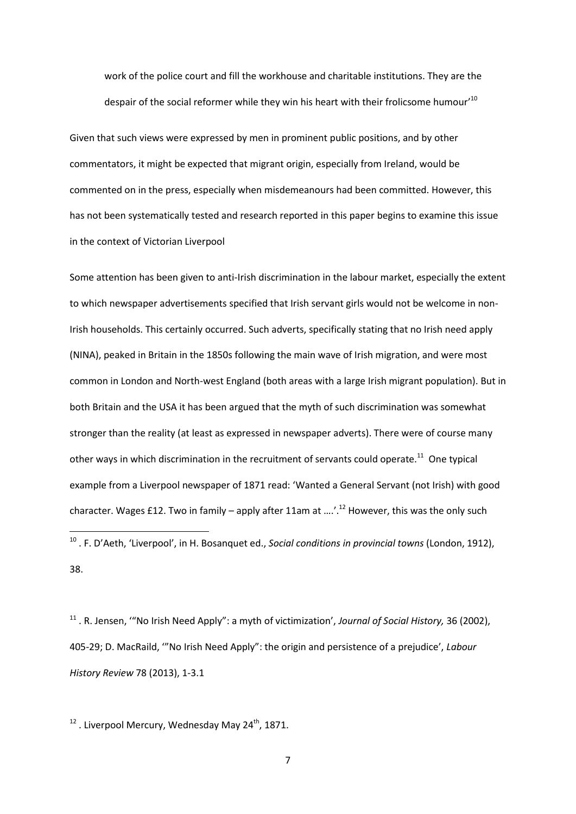work of the police court and fill the workhouse and charitable institutions. They are the despair of the social reformer while they win his heart with their frolicsome humour'<sup>10</sup>

Given that such views were expressed by men in prominent public positions, and by other commentators, it might be expected that migrant origin, especially from Ireland, would be commented on in the press, especially when misdemeanours had been committed. However, this has not been systematically tested and research reported in this paper begins to examine this issue in the context of Victorian Liverpool

Some attention has been given to anti-Irish discrimination in the labour market, especially the extent to which newspaper advertisements specified that Irish servant girls would not be welcome in non-Irish households. This certainly occurred. Such adverts, specifically stating that no Irish need apply (NINA), peaked in Britain in the 1850s following the main wave of Irish migration, and were most common in London and North-west England (both areas with a large Irish migrant population). But in both Britain and the USA it has been argued that the myth of such discrimination was somewhat stronger than the reality (at least as expressed in newspaper adverts). There were of course many other ways in which discrimination in the recruitment of servants could operate.<sup>11</sup> One typical example from a Liverpool newspaper of 1871 read: 'Wanted a General Servant (not Irish) with good character. Wages £12. Two in family – apply after 11am at  $\ldots$ '.<sup>12</sup> However, this was the only such

<sup>11</sup> . R. Jensen, '"No Irish Need Apply": a myth of victimization', *Journal of Social History,* 36 (2002), 405-29; D. MacRaild, '"No Irish Need Apply": the origin and persistence of a prejudice', *Labour History Review* 78 (2013), 1-3.1

 $12$ . Liverpool Mercury, Wednesday May 24<sup>th</sup>, 1871.

1

<sup>10</sup> . F. D'Aeth, 'Liverpool', in H. Bosanquet ed., *Social conditions in provincial towns* (London, 1912), 38.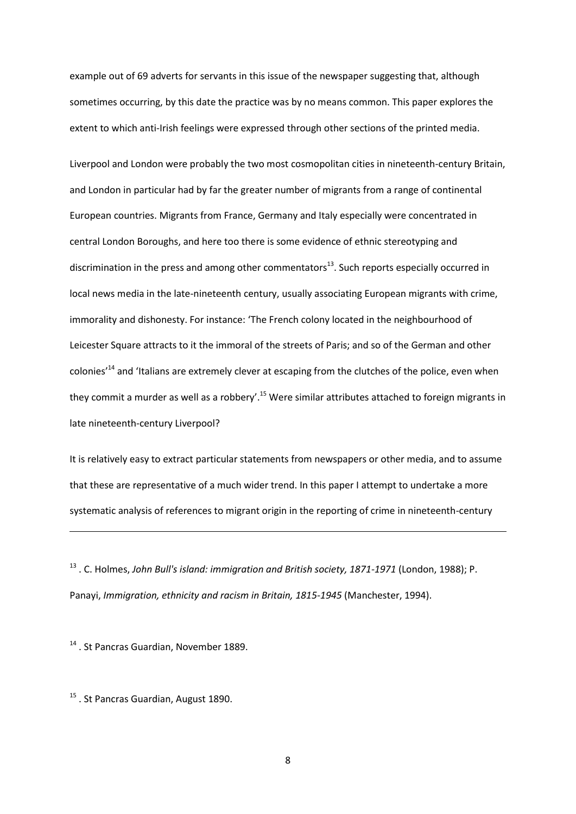example out of 69 adverts for servants in this issue of the newspaper suggesting that, although sometimes occurring, by this date the practice was by no means common. This paper explores the extent to which anti-Irish feelings were expressed through other sections of the printed media.

Liverpool and London were probably the two most cosmopolitan cities in nineteenth-century Britain, and London in particular had by far the greater number of migrants from a range of continental European countries. Migrants from France, Germany and Italy especially were concentrated in central London Boroughs, and here too there is some evidence of ethnic stereotyping and discrimination in the press and among other commentators $^{13}$ . Such reports especially occurred in local news media in the late-nineteenth century, usually associating European migrants with crime, immorality and dishonesty. For instance: 'The French colony located in the neighbourhood of Leicester Square attracts to it the immoral of the streets of Paris; and so of the German and other colonies<sup>'14</sup> and 'Italians are extremely clever at escaping from the clutches of the police, even when they commit a murder as well as a robbery'.<sup>15</sup> Were similar attributes attached to foreign migrants in late nineteenth-century Liverpool?

It is relatively easy to extract particular statements from newspapers or other media, and to assume that these are representative of a much wider trend. In this paper I attempt to undertake a more systematic analysis of references to migrant origin in the reporting of crime in nineteenth-century

<sup>13</sup> . C. Holmes, *John Bull's island: immigration and British society, 1871-1971* (London, 1988); P. Panayi, *Immigration, ethnicity and racism in Britain, 1815-1945* (Manchester, 1994).

<sup>14</sup>. St Pancras Guardian, November 1889.

1

<sup>15</sup> . St Pancras Guardian, August 1890.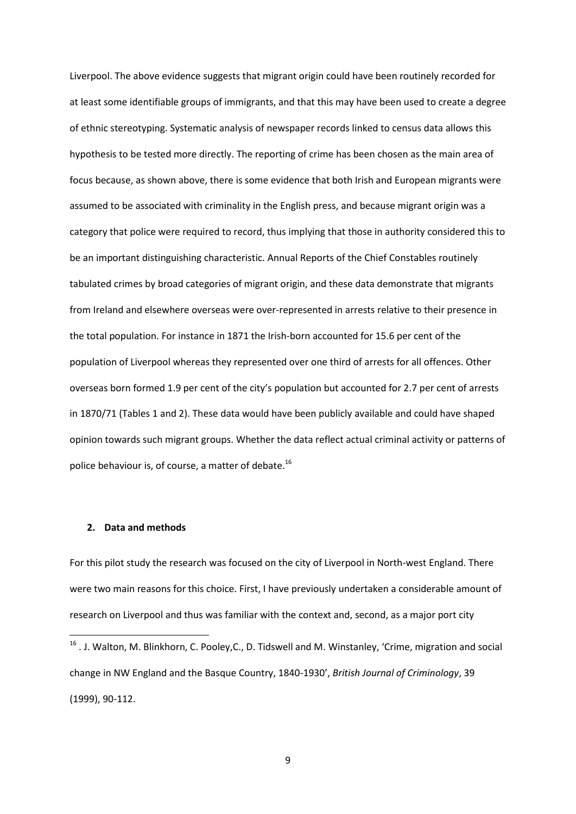Liverpool. The above evidence suggests that migrant origin could have been routinely recorded for at least some identifiable groups of immigrants, and that this may have been used to create a degree of ethnic stereotyping. Systematic analysis of newspaper records linked to census data allows this hypothesis to be tested more directly. The reporting of crime has been chosen as the main area of focus because, as shown above, there is some evidence that both Irish and European migrants were assumed to be associated with criminality in the English press, and because migrant origin was a category that police were required to record, thus implying that those in authority considered this to be an important distinguishing characteristic. Annual Reports of the Chief Constables routinely tabulated crimes by broad categories of migrant origin, and these data demonstrate that migrants from Ireland and elsewhere overseas were over-represented in arrests relative to their presence in the total population. For instance in 1871 the Irish-born accounted for 15.6 per cent of the population of Liverpool whereas they represented over one third of arrests for all offences. Other overseas born formed 1.9 per cent of the city's population but accounted for 2.7 per cent of arrests in 1870/71 (Tables 1 and 2). These data would have been publicly available and could have shaped opinion towards such migrant groups. Whether the data reflect actual criminal activity or patterns of police behaviour is, of course, a matter of debate.<sup>16</sup>

# **2. Data and methods**

**.** 

For this pilot study the research was focused on the city of Liverpool in North-west England. There were two main reasons for this choice. First, I have previously undertaken a considerable amount of research on Liverpool and thus was familiar with the context and, second, as a major port city

<sup>&</sup>lt;sup>16</sup>. J. Walton, M. Blinkhorn, C. Pooley, C., D. Tidswell and M. Winstanley, 'Crime, migration and social change in NW England and the Basque Country, 1840-1930', *British Journal of Criminology*, 39 (1999), 90-112.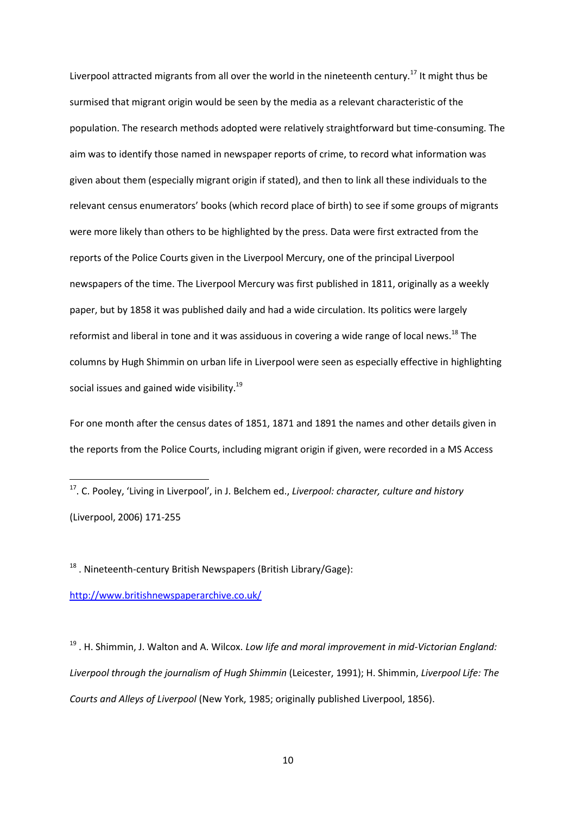Liverpool attracted migrants from all over the world in the nineteenth century.<sup>17</sup> It might thus be surmised that migrant origin would be seen by the media as a relevant characteristic of the population. The research methods adopted were relatively straightforward but time-consuming. The aim was to identify those named in newspaper reports of crime, to record what information was given about them (especially migrant origin if stated), and then to link all these individuals to the relevant census enumerators' books (which record place of birth) to see if some groups of migrants were more likely than others to be highlighted by the press. Data were first extracted from the reports of the Police Courts given in the Liverpool Mercury, one of the principal Liverpool newspapers of the time. The Liverpool Mercury was first published in 1811, originally as a weekly paper, but by 1858 it was published daily and had a wide circulation. Its politics were largely reformist and liberal in tone and it was assiduous in covering a wide range of local news.<sup>18</sup> The columns by Hugh Shimmin on urban life in Liverpool were seen as especially effective in highlighting social issues and gained wide visibility.<sup>19</sup>

For one month after the census dates of 1851, 1871 and 1891 the names and other details given in the reports from the Police Courts, including migrant origin if given, were recorded in a MS Access

 $18$ . Nineteenth-century British Newspapers (British Library/Gage):

<http://www.britishnewspaperarchive.co.uk/>

**.** 

<sup>19</sup> . H. Shimmin, J. Walton and A. Wilcox. *Low life and moral improvement in mid-Victorian England: Liverpool through the journalism of Hugh Shimmin* (Leicester, 1991); H. Shimmin, *Liverpool Life: The Courts and Alleys of Liverpool* (New York, 1985; originally published Liverpool, 1856).

<sup>17</sup>. C. Pooley, 'Living in Liverpool', in J. Belchem ed., *Liverpool: character, culture and history* (Liverpool, 2006) 171-255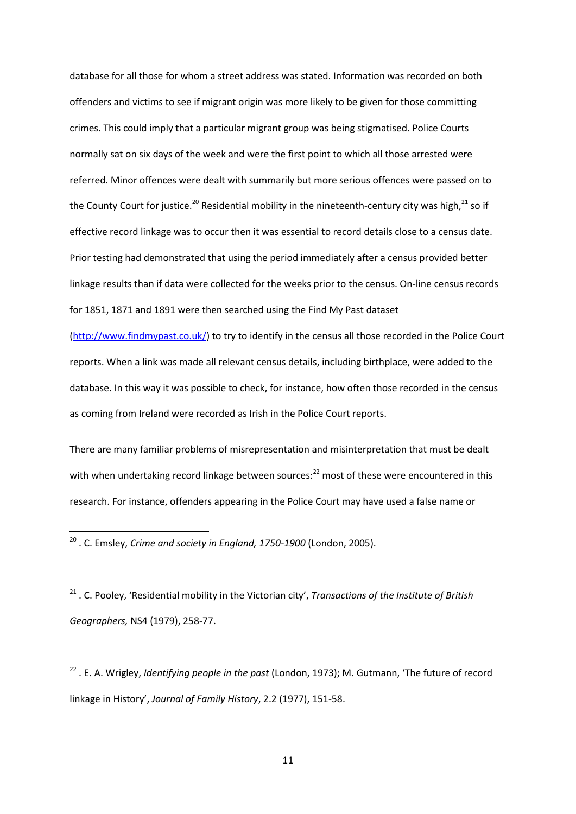database for all those for whom a street address was stated. Information was recorded on both offenders and victims to see if migrant origin was more likely to be given for those committing crimes. This could imply that a particular migrant group was being stigmatised. Police Courts normally sat on six days of the week and were the first point to which all those arrested were referred. Minor offences were dealt with summarily but more serious offences were passed on to the County Court for justice.<sup>20</sup> Residential mobility in the nineteenth-century city was high,  $21$  so if effective record linkage was to occur then it was essential to record details close to a census date. Prior testing had demonstrated that using the period immediately after a census provided better linkage results than if data were collected for the weeks prior to the census. On-line census records for 1851, 1871 and 1891 were then searched using the Find My Past dataset

[\(http://www.findmypast.co.uk/\)](http://www.findmypast.co.uk/) to try to identify in the census all those recorded in the Police Court reports. When a link was made all relevant census details, including birthplace, were added to the database. In this way it was possible to check, for instance, how often those recorded in the census as coming from Ireland were recorded as Irish in the Police Court reports.

There are many familiar problems of misrepresentation and misinterpretation that must be dealt with when undertaking record linkage between sources:<sup>22</sup> most of these were encountered in this research. For instance, offenders appearing in the Police Court may have used a false name or

1

<sup>21</sup> . C. Pooley, 'Residential mobility in the Victorian city', *Transactions of the Institute of British Geographers,* NS4 (1979), 258-77.

<sup>22</sup> . E. A. Wrigley, *Identifying people in the past* (London, 1973); M. Gutmann, 'The future of record linkage in History', *Journal of Family History*, 2.2 (1977), 151-58.

<sup>20</sup> . C. Emsley, *Crime and society in England, 1750-1900* (London, 2005).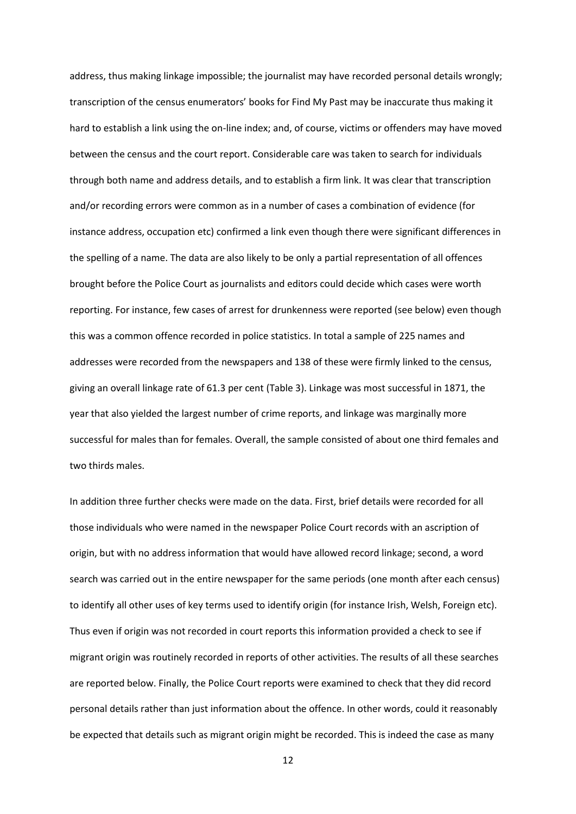address, thus making linkage impossible; the journalist may have recorded personal details wrongly; transcription of the census enumerators' books for Find My Past may be inaccurate thus making it hard to establish a link using the on-line index; and, of course, victims or offenders may have moved between the census and the court report. Considerable care was taken to search for individuals through both name and address details, and to establish a firm link. It was clear that transcription and/or recording errors were common as in a number of cases a combination of evidence (for instance address, occupation etc) confirmed a link even though there were significant differences in the spelling of a name. The data are also likely to be only a partial representation of all offences brought before the Police Court as journalists and editors could decide which cases were worth reporting. For instance, few cases of arrest for drunkenness were reported (see below) even though this was a common offence recorded in police statistics. In total a sample of 225 names and addresses were recorded from the newspapers and 138 of these were firmly linked to the census, giving an overall linkage rate of 61.3 per cent (Table 3). Linkage was most successful in 1871, the year that also yielded the largest number of crime reports, and linkage was marginally more successful for males than for females. Overall, the sample consisted of about one third females and two thirds males.

In addition three further checks were made on the data. First, brief details were recorded for all those individuals who were named in the newspaper Police Court records with an ascription of origin, but with no address information that would have allowed record linkage; second, a word search was carried out in the entire newspaper for the same periods (one month after each census) to identify all other uses of key terms used to identify origin (for instance Irish, Welsh, Foreign etc). Thus even if origin was not recorded in court reports this information provided a check to see if migrant origin was routinely recorded in reports of other activities. The results of all these searches are reported below. Finally, the Police Court reports were examined to check that they did record personal details rather than just information about the offence. In other words, could it reasonably be expected that details such as migrant origin might be recorded. This is indeed the case as many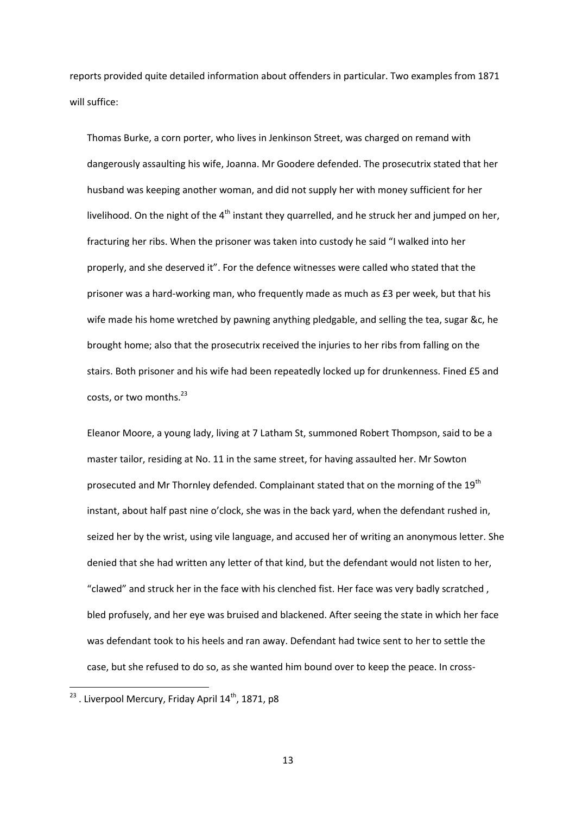reports provided quite detailed information about offenders in particular. Two examples from 1871 will suffice:

Thomas Burke, a corn porter, who lives in Jenkinson Street, was charged on remand with dangerously assaulting his wife, Joanna. Mr Goodere defended. The prosecutrix stated that her husband was keeping another woman, and did not supply her with money sufficient for her livelihood. On the night of the  $4<sup>th</sup>$  instant they quarrelled, and he struck her and jumped on her, fracturing her ribs. When the prisoner was taken into custody he said "I walked into her properly, and she deserved it". For the defence witnesses were called who stated that the prisoner was a hard-working man, who frequently made as much as £3 per week, but that his wife made his home wretched by pawning anything pledgable, and selling the tea, sugar &c, he brought home; also that the prosecutrix received the injuries to her ribs from falling on the stairs. Both prisoner and his wife had been repeatedly locked up for drunkenness. Fined £5 and costs, or two months.<sup>23</sup>

Eleanor Moore, a young lady, living at 7 Latham St, summoned Robert Thompson, said to be a master tailor, residing at No. 11 in the same street, for having assaulted her. Mr Sowton prosecuted and Mr Thornley defended. Complainant stated that on the morning of the  $19<sup>th</sup>$ instant, about half past nine o'clock, she was in the back yard, when the defendant rushed in, seized her by the wrist, using vile language, and accused her of writing an anonymous letter. She denied that she had written any letter of that kind, but the defendant would not listen to her, "clawed" and struck her in the face with his clenched fist. Her face was very badly scratched , bled profusely, and her eye was bruised and blackened. After seeing the state in which her face was defendant took to his heels and ran away. Defendant had twice sent to her to settle the case, but she refused to do so, as she wanted him bound over to keep the peace. In cross-

 $^{23}$  . Liverpool Mercury, Friday April 14<sup>th</sup>, 1871, p8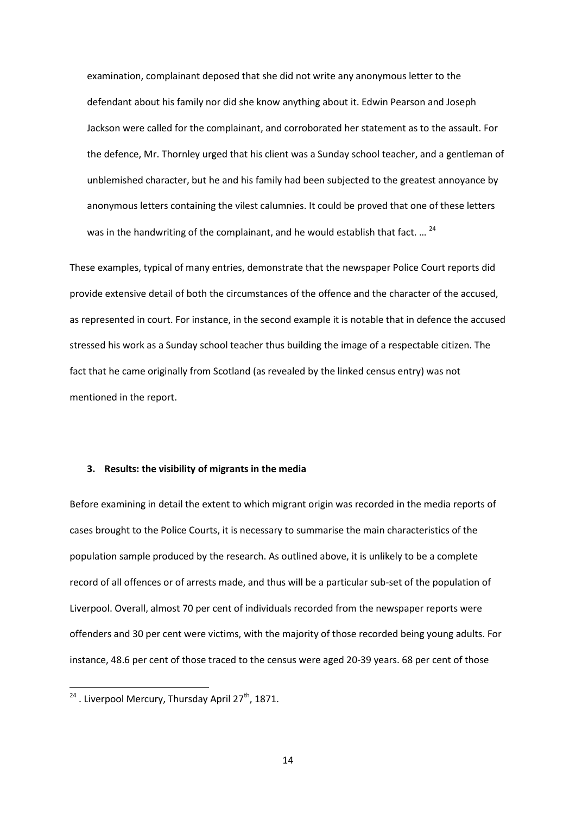examination, complainant deposed that she did not write any anonymous letter to the defendant about his family nor did she know anything about it. Edwin Pearson and Joseph Jackson were called for the complainant, and corroborated her statement as to the assault. For the defence, Mr. Thornley urged that his client was a Sunday school teacher, and a gentleman of unblemished character, but he and his family had been subjected to the greatest annoyance by anonymous letters containing the vilest calumnies. It could be proved that one of these letters was in the handwriting of the complainant, and he would establish that fact. ...<sup>24</sup>

These examples, typical of many entries, demonstrate that the newspaper Police Court reports did provide extensive detail of both the circumstances of the offence and the character of the accused, as represented in court. For instance, in the second example it is notable that in defence the accused stressed his work as a Sunday school teacher thus building the image of a respectable citizen. The fact that he came originally from Scotland (as revealed by the linked census entry) was not mentioned in the report.

# **3. Results: the visibility of migrants in the media**

Before examining in detail the extent to which migrant origin was recorded in the media reports of cases brought to the Police Courts, it is necessary to summarise the main characteristics of the population sample produced by the research. As outlined above, it is unlikely to be a complete record of all offences or of arrests made, and thus will be a particular sub-set of the population of Liverpool. Overall, almost 70 per cent of individuals recorded from the newspaper reports were offenders and 30 per cent were victims, with the majority of those recorded being young adults. For instance, 48.6 per cent of those traced to the census were aged 20-39 years. 68 per cent of those

 $24$ . Liverpool Mercury, Thursday April 27<sup>th</sup>, 1871.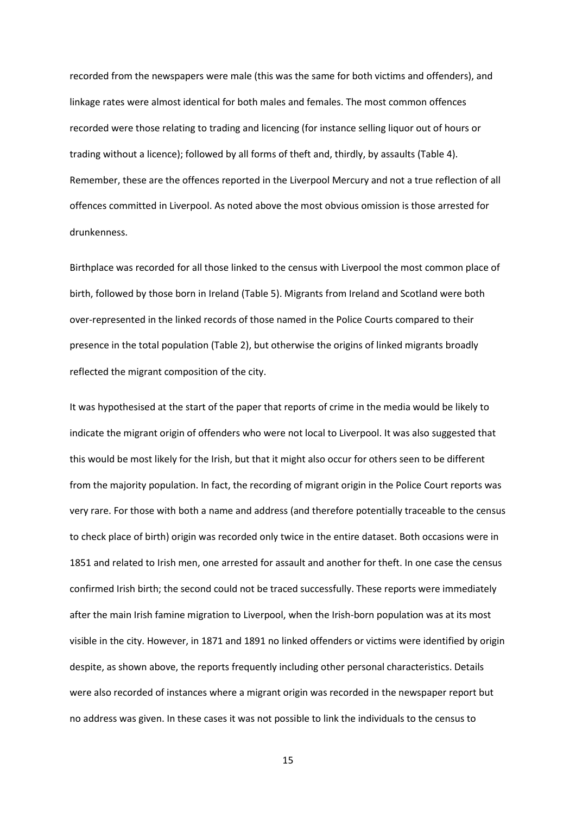recorded from the newspapers were male (this was the same for both victims and offenders), and linkage rates were almost identical for both males and females. The most common offences recorded were those relating to trading and licencing (for instance selling liquor out of hours or trading without a licence); followed by all forms of theft and, thirdly, by assaults (Table 4). Remember, these are the offences reported in the Liverpool Mercury and not a true reflection of all offences committed in Liverpool. As noted above the most obvious omission is those arrested for drunkenness.

Birthplace was recorded for all those linked to the census with Liverpool the most common place of birth, followed by those born in Ireland (Table 5). Migrants from Ireland and Scotland were both over-represented in the linked records of those named in the Police Courts compared to their presence in the total population (Table 2), but otherwise the origins of linked migrants broadly reflected the migrant composition of the city.

It was hypothesised at the start of the paper that reports of crime in the media would be likely to indicate the migrant origin of offenders who were not local to Liverpool. It was also suggested that this would be most likely for the Irish, but that it might also occur for others seen to be different from the majority population. In fact, the recording of migrant origin in the Police Court reports was very rare. For those with both a name and address (and therefore potentially traceable to the census to check place of birth) origin was recorded only twice in the entire dataset. Both occasions were in 1851 and related to Irish men, one arrested for assault and another for theft. In one case the census confirmed Irish birth; the second could not be traced successfully. These reports were immediately after the main Irish famine migration to Liverpool, when the Irish-born population was at its most visible in the city. However, in 1871 and 1891 no linked offenders or victims were identified by origin despite, as shown above, the reports frequently including other personal characteristics. Details were also recorded of instances where a migrant origin was recorded in the newspaper report but no address was given. In these cases it was not possible to link the individuals to the census to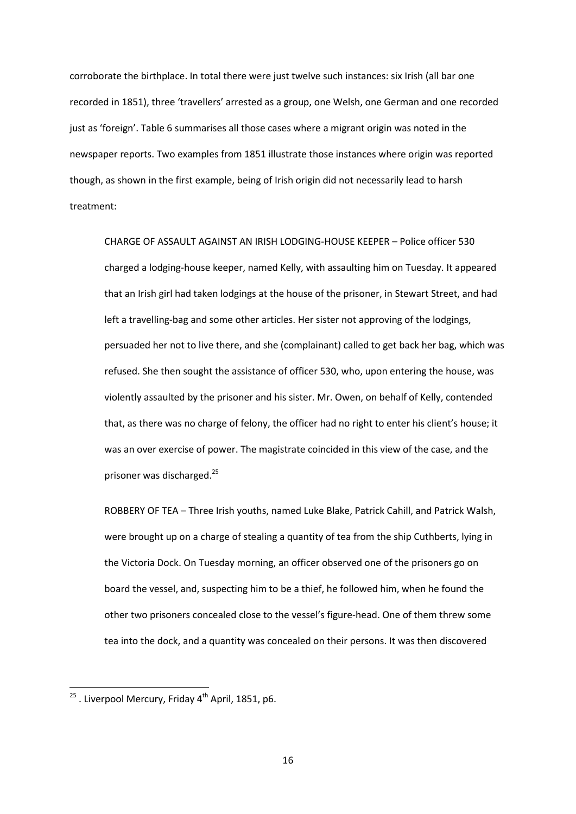corroborate the birthplace. In total there were just twelve such instances: six Irish (all bar one recorded in 1851), three 'travellers' arrested as a group, one Welsh, one German and one recorded just as 'foreign'. Table 6 summarises all those cases where a migrant origin was noted in the newspaper reports. Two examples from 1851 illustrate those instances where origin was reported though, as shown in the first example, being of Irish origin did not necessarily lead to harsh treatment:

CHARGE OF ASSAULT AGAINST AN IRISH LODGING-HOUSE KEEPER – Police officer 530 charged a lodging-house keeper, named Kelly, with assaulting him on Tuesday. It appeared that an Irish girl had taken lodgings at the house of the prisoner, in Stewart Street, and had left a travelling-bag and some other articles. Her sister not approving of the lodgings, persuaded her not to live there, and she (complainant) called to get back her bag, which was refused. She then sought the assistance of officer 530, who, upon entering the house, was violently assaulted by the prisoner and his sister. Mr. Owen, on behalf of Kelly, contended that, as there was no charge of felony, the officer had no right to enter his client's house; it was an over exercise of power. The magistrate coincided in this view of the case, and the prisoner was discharged.<sup>25</sup>

ROBBERY OF TEA – Three Irish youths, named Luke Blake, Patrick Cahill, and Patrick Walsh, were brought up on a charge of stealing a quantity of tea from the ship Cuthberts, lying in the Victoria Dock. On Tuesday morning, an officer observed one of the prisoners go on board the vessel, and, suspecting him to be a thief, he followed him, when he found the other two prisoners concealed close to the vessel's figure-head. One of them threw some tea into the dock, and a quantity was concealed on their persons. It was then discovered

 $^{25}$  . Liverpool Mercury, Friday 4<sup>th</sup> April, 1851, p6.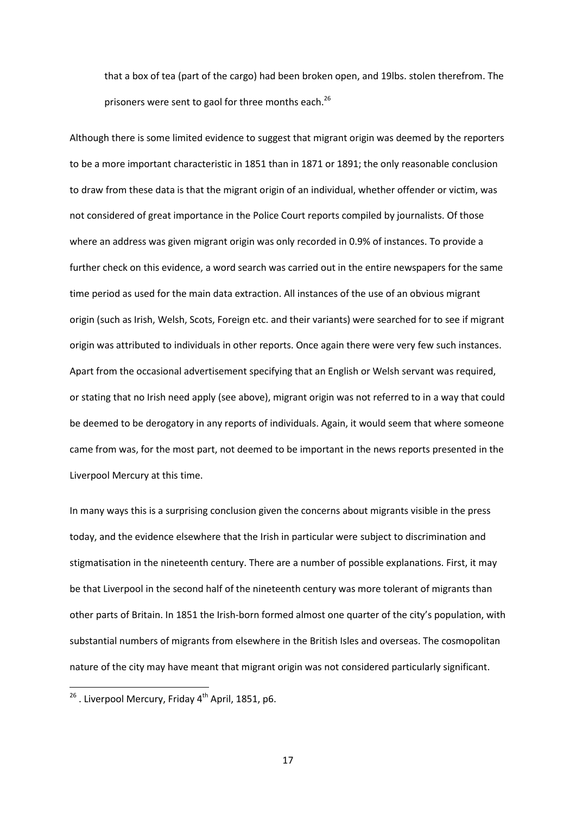that a box of tea (part of the cargo) had been broken open, and 19lbs. stolen therefrom. The prisoners were sent to gaol for three months each.<sup>26</sup>

Although there is some limited evidence to suggest that migrant origin was deemed by the reporters to be a more important characteristic in 1851 than in 1871 or 1891; the only reasonable conclusion to draw from these data is that the migrant origin of an individual, whether offender or victim, was not considered of great importance in the Police Court reports compiled by journalists. Of those where an address was given migrant origin was only recorded in 0.9% of instances. To provide a further check on this evidence, a word search was carried out in the entire newspapers for the same time period as used for the main data extraction. All instances of the use of an obvious migrant origin (such as Irish, Welsh, Scots, Foreign etc. and their variants) were searched for to see if migrant origin was attributed to individuals in other reports. Once again there were very few such instances. Apart from the occasional advertisement specifying that an English or Welsh servant was required, or stating that no Irish need apply (see above), migrant origin was not referred to in a way that could be deemed to be derogatory in any reports of individuals. Again, it would seem that where someone came from was, for the most part, not deemed to be important in the news reports presented in the Liverpool Mercury at this time.

In many ways this is a surprising conclusion given the concerns about migrants visible in the press today, and the evidence elsewhere that the Irish in particular were subject to discrimination and stigmatisation in the nineteenth century. There are a number of possible explanations. First, it may be that Liverpool in the second half of the nineteenth century was more tolerant of migrants than other parts of Britain. In 1851 the Irish-born formed almost one quarter of the city's population, with substantial numbers of migrants from elsewhere in the British Isles and overseas. The cosmopolitan nature of the city may have meant that migrant origin was not considered particularly significant.

**.** 

 $^{26}$  . Liverpool Mercury, Friday 4<sup>th</sup> April, 1851, p6.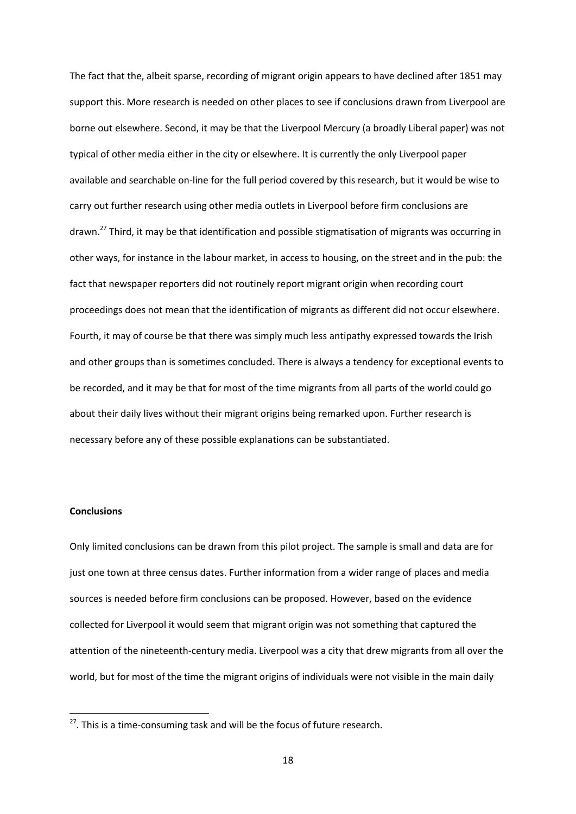The fact that the, albeit sparse, recording of migrant origin appears to have declined after 1851 may support this. More research is needed on other places to see if conclusions drawn from Liverpool are borne out elsewhere. Second, it may be that the Liverpool Mercury (a broadly Liberal paper) was not typical of other media either in the city or elsewhere. It is currently the only Liverpool paper available and searchable on-line for the full period covered by this research, but it would be wise to carry out further research using other media outlets in Liverpool before firm conclusions are drawn.<sup>27</sup> Third, it may be that identification and possible stigmatisation of migrants was occurring in other ways, for instance in the labour market, in access to housing, on the street and in the pub: the fact that newspaper reporters did not routinely report migrant origin when recording court proceedings does not mean that the identification of migrants as different did not occur elsewhere. Fourth, it may of course be that there was simply much less antipathy expressed towards the Irish and other groups than is sometimes concluded. There is always a tendency for exceptional events to be recorded, and it may be that for most of the time migrants from all parts of the world could go about their daily lives without their migrant origins being remarked upon. Further research is necessary before any of these possible explanations can be substantiated.

# **Conclusions**

**.** 

Only limited conclusions can be drawn from this pilot project. The sample is small and data are for just one town at three census dates. Further information from a wider range of places and media sources is needed before firm conclusions can be proposed. However, based on the evidence collected for Liverpool it would seem that migrant origin was not something that captured the attention of the nineteenth-century media. Liverpool was a city that drew migrants from all over the world, but for most of the time the migrant origins of individuals were not visible in the main daily

 $27$ . This is a time-consuming task and will be the focus of future research.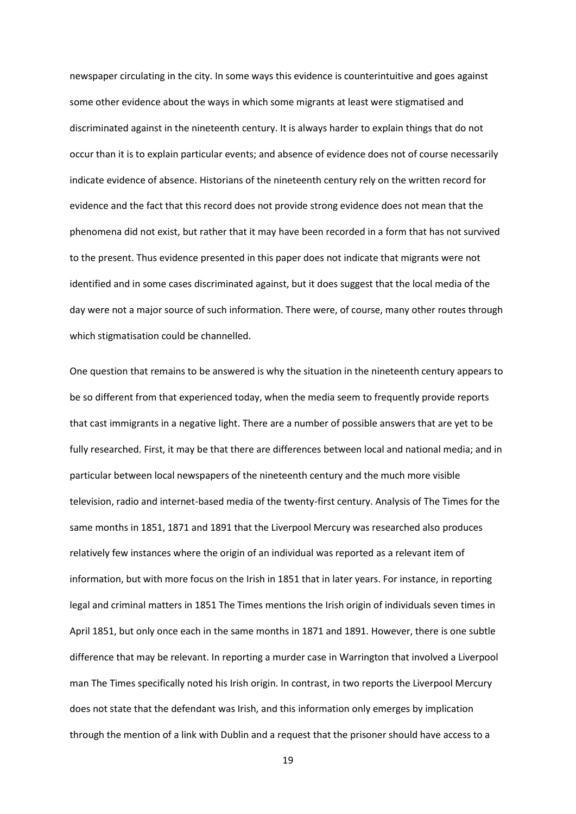newspaper circulating in the city. In some ways this evidence is counterintuitive and goes against some other evidence about the ways in which some migrants at least were stigmatised and discriminated against in the nineteenth century. It is always harder to explain things that do not occur than it is to explain particular events; and absence of evidence does not of course necessarily indicate evidence of absence. Historians of the nineteenth century rely on the written record for evidence and the fact that this record does not provide strong evidence does not mean that the phenomena did not exist, but rather that it may have been recorded in a form that has not survived to the present. Thus evidence presented in this paper does not indicate that migrants were not identified and in some cases discriminated against, but it does suggest that the local media of the day were not a major source of such information. There were, of course, many other routes through which stigmatisation could be channelled.

One question that remains to be answered is why the situation in the nineteenth century appears to be so different from that experienced today, when the media seem to frequently provide reports that cast immigrants in a negative light. There are a number of possible answers that are yet to be fully researched. First, it may be that there are differences between local and national media; and in particular between local newspapers of the nineteenth century and the much more visible television, radio and internet-based media of the twenty-first century. Analysis of The Times for the same months in 1851, 1871 and 1891 that the Liverpool Mercury was researched also produces relatively few instances where the origin of an individual was reported as a relevant item of information, but with more focus on the Irish in 1851 that in later years. For instance, in reporting legal and criminal matters in 1851 The Times mentions the Irish origin of individuals seven times in April 1851, but only once each in the same months in 1871 and 1891. However, there is one subtle difference that may be relevant. In reporting a murder case in Warrington that involved a Liverpool man The Times specifically noted his Irish origin. In contrast, in two reports the Liverpool Mercury does not state that the defendant was Irish, and this information only emerges by implication through the mention of a link with Dublin and a request that the prisoner should have access to a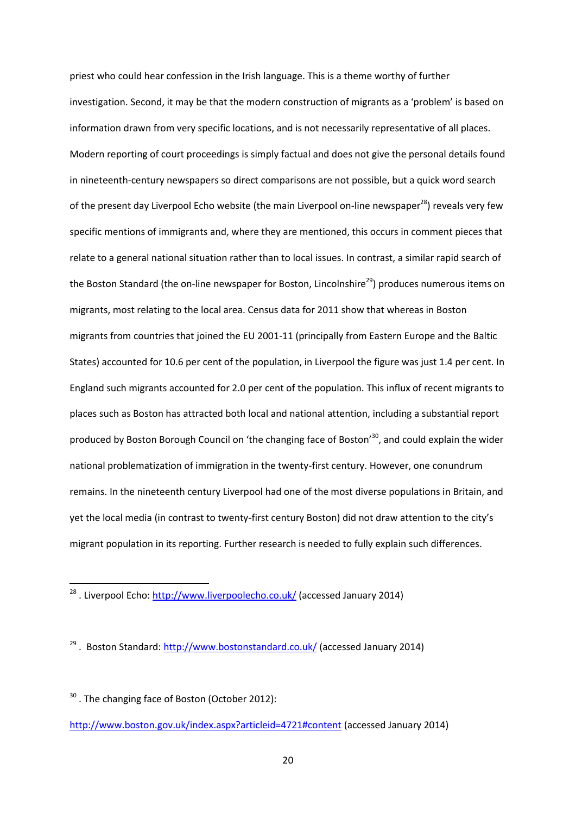priest who could hear confession in the Irish language. This is a theme worthy of further investigation. Second, it may be that the modern construction of migrants as a 'problem' is based on information drawn from very specific locations, and is not necessarily representative of all places. Modern reporting of court proceedings is simply factual and does not give the personal details found in nineteenth-century newspapers so direct comparisons are not possible, but a quick word search of the present day Liverpool Echo website (the main Liverpool on-line newspaper<sup>28</sup>) reveals very few specific mentions of immigrants and, where they are mentioned, this occurs in comment pieces that relate to a general national situation rather than to local issues. In contrast, a similar rapid search of the Boston Standard (the on-line newspaper for Boston, Lincolnshire<sup>29</sup>) produces numerous items on migrants, most relating to the local area. Census data for 2011 show that whereas in Boston migrants from countries that joined the EU 2001-11 (principally from Eastern Europe and the Baltic States) accounted for 10.6 per cent of the population, in Liverpool the figure was just 1.4 per cent. In England such migrants accounted for 2.0 per cent of the population. This influx of recent migrants to places such as Boston has attracted both local and national attention, including a substantial report produced by Boston Borough Council on 'the changing face of Boston'<sup>30</sup>, and could explain the wider national problematization of immigration in the twenty-first century. However, one conundrum remains. In the nineteenth century Liverpool had one of the most diverse populations in Britain, and yet the local media (in contrast to twenty-first century Boston) did not draw attention to the city's migrant population in its reporting. Further research is needed to fully explain such differences.

<sup>&</sup>lt;sup>28</sup> . Liverpool Echo[: http://www.liverpoolecho.co.uk/](http://www.liverpoolecho.co.uk/) (accessed January 2014)

<sup>&</sup>lt;sup>29</sup>. Boston Standard:<http://www.bostonstandard.co.uk/> (accessed January 2014)

<sup>&</sup>lt;sup>30</sup>. The changing face of Boston (October 2012): <http://www.boston.gov.uk/index.aspx?articleid=4721#content> (accessed January 2014)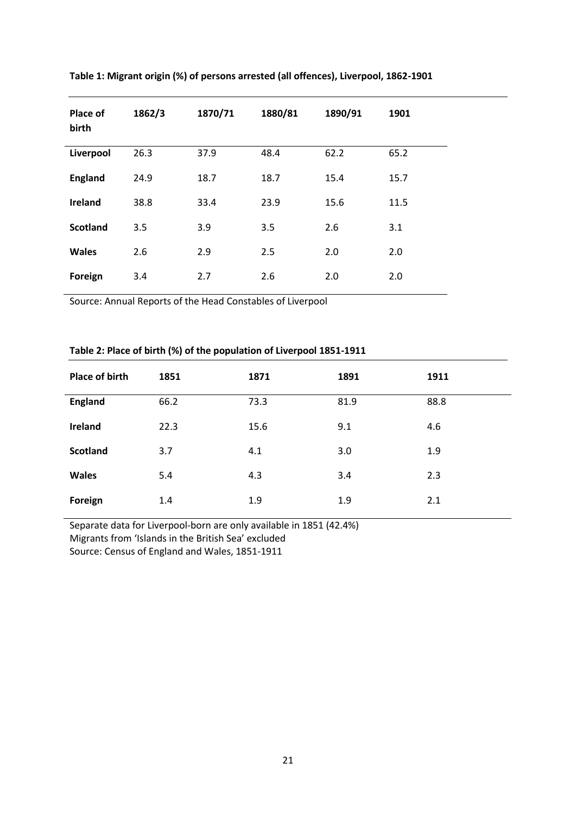| Place of<br>birth | 1862/3 | 1870/71 | 1880/81 | 1890/91 | 1901 |
|-------------------|--------|---------|---------|---------|------|
| Liverpool         | 26.3   | 37.9    | 48.4    | 62.2    | 65.2 |
| <b>England</b>    | 24.9   | 18.7    | 18.7    | 15.4    | 15.7 |
| <b>Ireland</b>    | 38.8   | 33.4    | 23.9    | 15.6    | 11.5 |
| <b>Scotland</b>   | 3.5    | 3.9     | 3.5     | 2.6     | 3.1  |
| <b>Wales</b>      | 2.6    | 2.9     | 2.5     | 2.0     | 2.0  |
| Foreign           | 3.4    | 2.7     | 2.6     | 2.0     | 2.0  |

**Table 1: Migrant origin (%) of persons arrested (all offences), Liverpool, 1862-1901**

Source: Annual Reports of the Head Constables of Liverpool

# **Table 2: Place of birth (%) of the population of Liverpool 1851-1911**

| <b>Place of birth</b> | 1851 | 1871 | 1891 | 1911 |
|-----------------------|------|------|------|------|
| <b>England</b>        | 66.2 | 73.3 | 81.9 | 88.8 |
| Ireland               | 22.3 | 15.6 | 9.1  | 4.6  |
| <b>Scotland</b>       | 3.7  | 4.1  | 3.0  | 1.9  |
| <b>Wales</b>          | 5.4  | 4.3  | 3.4  | 2.3  |
| Foreign               | 1.4  | 1.9  | 1.9  | 2.1  |

Separate data for Liverpool-born are only available in 1851 (42.4%) Migrants from 'Islands in the British Sea' excluded Source: Census of England and Wales, 1851-1911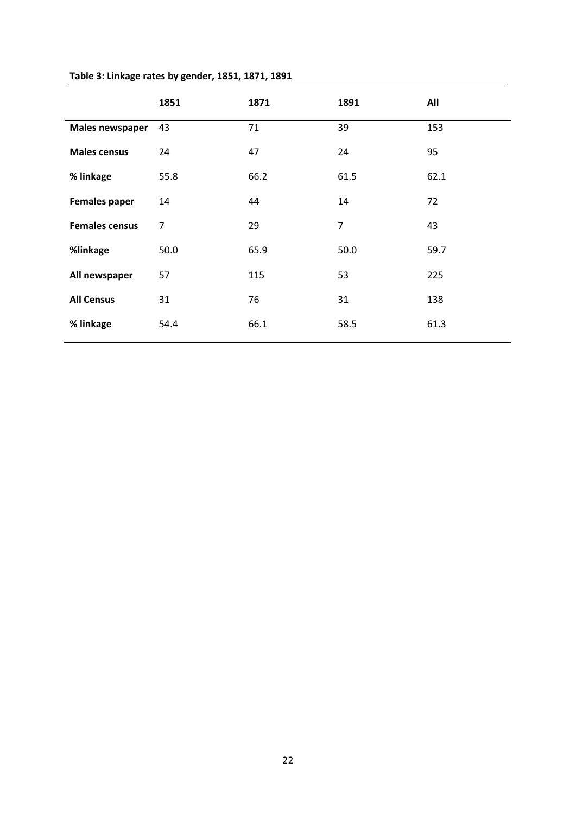|                        | 1851           | 1871 | 1891           | All  |
|------------------------|----------------|------|----------------|------|
| <b>Males newspaper</b> | 43             | 71   | 39             | 153  |
| <b>Males census</b>    | 24             | 47   | 24             | 95   |
| % linkage              | 55.8           | 66.2 | 61.5           | 62.1 |
| <b>Females paper</b>   | 14             | 44   | 14             | 72   |
| <b>Females census</b>  | $\overline{7}$ | 29   | $\overline{7}$ | 43   |
| %linkage               | 50.0           | 65.9 | 50.0           | 59.7 |
| All newspaper          | 57             | 115  | 53             | 225  |
| <b>All Census</b>      | 31             | 76   | 31             | 138  |
| % linkage              | 54.4           | 66.1 | 58.5           | 61.3 |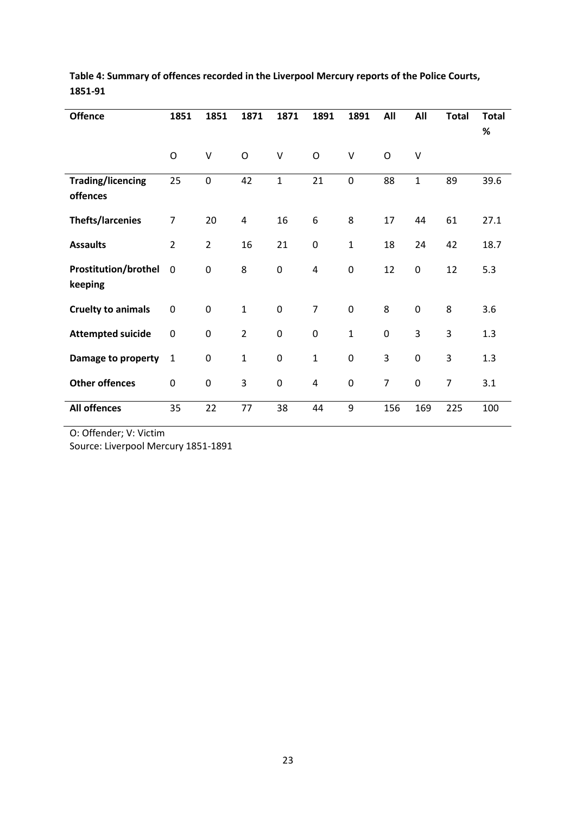| <b>Offence</b>              | 1851             | 1851             | 1871           | 1871         | 1891             | 1891         | All            | All          | <b>Total</b>   | <b>Total</b> |
|-----------------------------|------------------|------------------|----------------|--------------|------------------|--------------|----------------|--------------|----------------|--------------|
|                             |                  |                  |                |              |                  |              |                |              |                | %            |
|                             |                  |                  |                |              |                  |              |                |              |                |              |
|                             | $\circ$          | V                | $\circ$        | $\vee$       | $\circ$          | $\vee$       | O              | $\vee$       |                |              |
| <b>Trading/licencing</b>    | 25               | $\mathbf 0$      | 42             | $\mathbf{1}$ | 21               | $\mathbf 0$  | 88             | $\mathbf{1}$ | 89             | 39.6         |
| offences                    |                  |                  |                |              |                  |              |                |              |                |              |
|                             |                  |                  |                |              |                  |              |                |              |                |              |
| <b>Thefts/larcenies</b>     | $\overline{7}$   | 20               | 4              | 16           | 6                | 8            | 17             | 44           | 61             | 27.1         |
|                             |                  |                  |                |              |                  |              |                |              |                |              |
| <b>Assaults</b>             | $\overline{2}$   | $\overline{2}$   | 16             | 21           | $\pmb{0}$        | $\mathbf{1}$ | 18             | 24           | 42             | 18.7         |
| <b>Prostitution/brothel</b> | $\mathbf 0$      | $\mathbf 0$      | 8              | $\pmb{0}$    | 4                | $\mathbf 0$  | 12             | 0            | 12             | 5.3          |
|                             |                  |                  |                |              |                  |              |                |              |                |              |
| keeping                     |                  |                  |                |              |                  |              |                |              |                |              |
| <b>Cruelty to animals</b>   | $\mathbf 0$      | $\mathbf 0$      | $\mathbf{1}$   | $\pmb{0}$    | $\overline{7}$   | $\pmb{0}$    | 8              | $\pmb{0}$    | 8              | 3.6          |
|                             |                  |                  |                |              |                  |              |                |              |                |              |
| <b>Attempted suicide</b>    | $\pmb{0}$        | $\mathbf 0$      | $\overline{2}$ | $\pmb{0}$    | $\boldsymbol{0}$ | $\mathbf{1}$ | $\pmb{0}$      | 3            | 3              | 1.3          |
|                             |                  |                  |                |              |                  |              |                |              |                |              |
| Damage to property          | $\mathbf{1}$     | $\boldsymbol{0}$ | $\mathbf{1}$   | 0            | $\mathbf{1}$     | $\mathbf 0$  | 3              | 0            | 3              | 1.3          |
|                             |                  |                  |                |              |                  |              |                |              |                |              |
| <b>Other offences</b>       | $\boldsymbol{0}$ | $\mathbf 0$      | 3              | 0            | $\overline{4}$   | $\mathbf 0$  | $\overline{7}$ | 0            | $\overline{7}$ | 3.1          |
| <b>All offences</b>         | 35               | 22               | 77             | 38           | 44               | 9            | 156            | 169          | 225            | 100          |
|                             |                  |                  |                |              |                  |              |                |              |                |              |

# **Table 4: Summary of offences recorded in the Liverpool Mercury reports of the Police Courts, 1851-91**

O: Offender; V: Victim

Source: Liverpool Mercury 1851-1891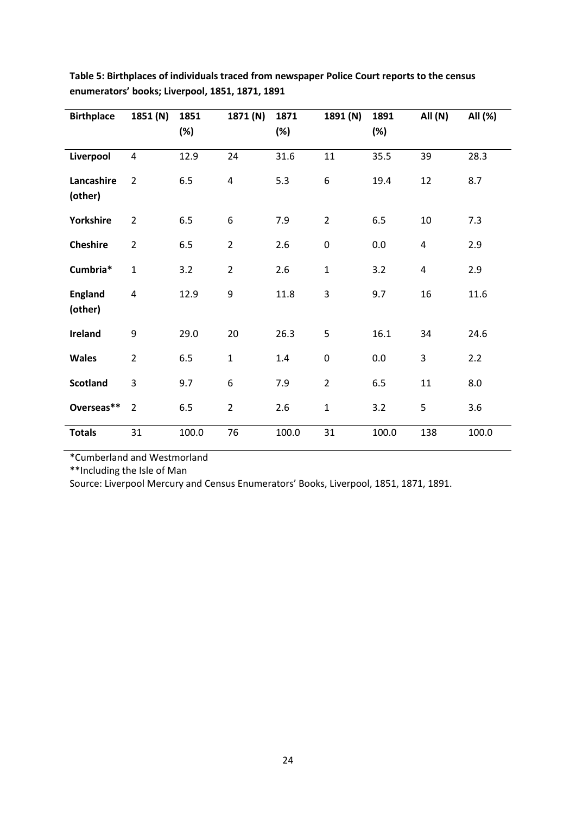| <b>Birthplace</b>         | 1851 (N)                | 1851<br>(%) | 1871 (N)       | 1871<br>(%) | 1891 (N)         | 1891<br>(%) | All (N)                 | All (%) |
|---------------------------|-------------------------|-------------|----------------|-------------|------------------|-------------|-------------------------|---------|
|                           | $\overline{4}$          | 12.9        | 24             | 31.6        | 11               | 35.5        | 39                      | 28.3    |
| Liverpool                 |                         |             |                |             |                  |             |                         |         |
| Lancashire<br>(other)     | $\overline{2}$          | 6.5         | 4              | 5.3         | 6                | 19.4        | 12                      | 8.7     |
| Yorkshire                 | $\overline{2}$          | 6.5         | 6              | 7.9         | $\overline{2}$   | 6.5         | 10                      | 7.3     |
| <b>Cheshire</b>           | $\overline{2}$          | 6.5         | $\overline{2}$ | 2.6         | $\boldsymbol{0}$ | 0.0         | 4                       | 2.9     |
| Cumbria*                  | $\mathbf{1}$            | 3.2         | $\overline{2}$ | 2.6         | $\mathbf{1}$     | 3.2         | $\overline{\mathbf{4}}$ | 2.9     |
| <b>England</b><br>(other) | $\overline{\mathbf{4}}$ | 12.9        | 9              | 11.8        | 3                | 9.7         | 16                      | 11.6    |
| Ireland                   | 9                       | 29.0        | 20             | 26.3        | 5                | 16.1        | 34                      | 24.6    |
| Wales                     | $\overline{2}$          | 6.5         | $\mathbf 1$    | 1.4         | $\pmb{0}$        | 0.0         | 3                       | 2.2     |
| <b>Scotland</b>           | 3                       | 9.7         | 6              | 7.9         | $\overline{2}$   | 6.5         | 11                      | 8.0     |
| Overseas**                | $\overline{2}$          | 6.5         | $\overline{2}$ | 2.6         | $\mathbf 1$      | 3.2         | 5                       | 3.6     |
| <b>Totals</b>             | 31                      | 100.0       | 76             | 100.0       | 31               | 100.0       | 138                     | 100.0   |

**Table 5: Birthplaces of individuals traced from newspaper Police Court reports to the census enumerators' books; Liverpool, 1851, 1871, 1891**

\*Cumberland and Westmorland

\*\*Including the Isle of Man

Source: Liverpool Mercury and Census Enumerators' Books, Liverpool, 1851, 1871, 1891.